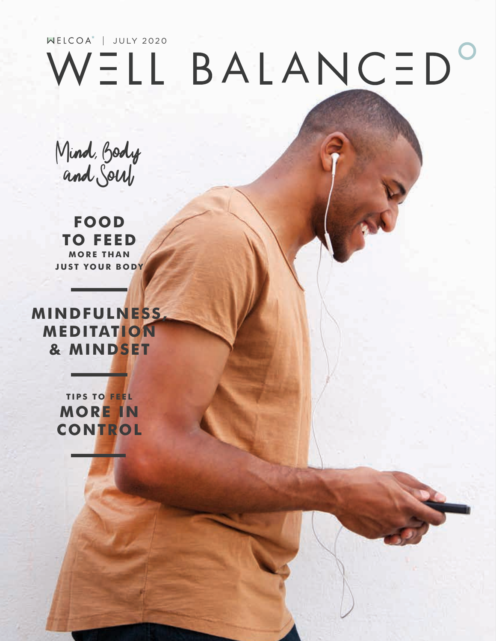## WELL BALANCED  $\overline{\textbf{O}}$

Mind, Body and Soul

**FOOD TO FEED MORE THAN JUST YOUR BODY**

**MINDFULNESS, MEDITATION & MINDSET**

> **TIPS TO FEEL MORE IN CONTROL**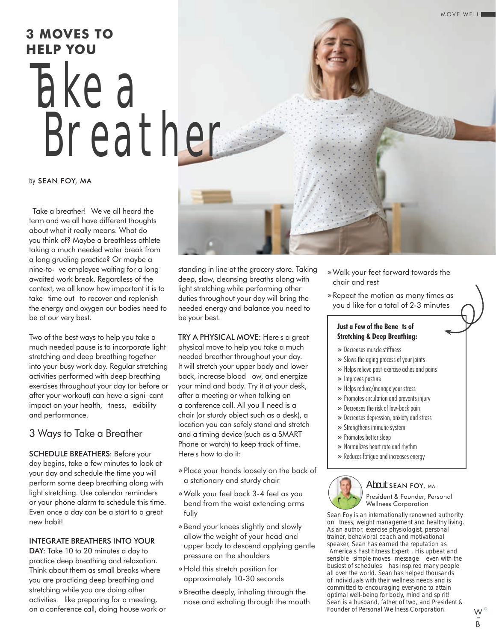# Take a Breather **3 MOVES TO HELP YOU**

#### *by* SEAN FOY, MA

Take a breather! Weve all heard the term and we all have different thoughts about what it really means. What do you think of? Maybe a breathless athlete taking a much needed water break from a long grueling practice? Or maybe a nine-to-ve employee waiting for a long awaited work break. Regardless of the context, we all know how important it is to take time out to recover and replenish the energy and oxygen our bodies need to be at our very best.

Two of the best ways to help you take a much needed pause is to incorporate light stretching and deep breathing together into your busy work day. Regular stretching activities performed with deep breathing exercises throughout your day (or before or after your workout) can have a signi cant impact on your health, tness, exibility and performance.

#### 3 Ways to Take a Breather

SCHEDULE BREATHERS: Before your day begins, take a few minutes to look at your day and schedule the time you will perform some deep breathing along with light stretching. Use calendar reminders or your phone alarm to schedule this time. Even once a day can be a start to a great new habit!

#### INTEGRATE BREATHERS INTO YOUR

DAY: Take 10 to 20 minutes a day to practice deep breathing and relaxation. Think about them as small breaks where you are practicing deep breathing and stretching while you are doing other activities like preparing for a meeting, on a conference call, doing house work or standing in line at the grocery store. Taking deep, slow, cleansing breaths along with light stretching while performing other duties throughout your day will bring the needed energy and balance you need to be your best.

TRY A PHYSICAL MOVE: Heres a great physical move to help you take a much needed breather throughout your day. It will stretch your upper body and lower back, increase blood ow, and energize your mind and body. Try it at your desk, after a meeting or when talking on a conference call. All you II need is a chair (or sturdy object such as a desk), a location you can safely stand and stretch and a timing device (such as a SMART Phone or watch) to keep track of time. Heres how to do it:

- » Place your hands loosely on the back of a stationary and sturdy chair
- » Walk your feet back 3-4 feet as you bend from the waist extending arms fully
- » Bend your knees slightly and slowly allow the weight of your head and upper body to descend applying gentle pressure on the shoulders
- » Hold this stretch position for approximately 10-30 seconds
- » Breathe deeply, inhaling through the nose and exhaling through the mouth
- » Walk your feet forward towards the chair and rest
- » Repeat the motion as many times as youd like for a total of 2-3 minutes

#### **Just a Few of the Bene ts of Stretching & Deep Breathing:**

- » Decreases muscle stiffness
- » Slows the aging process of your joints
- » Helps relieve post-exercise aches and pains
- » Improves posture
- » Helps reduce/manage your stress
- » Promotes circulation and prevents injury
- » Decreases the risk of low-back pain
- » Decreases depression, anxiety and stress
- » Strengthens immune system
- » Promotes better sleep
- » Normalizes heart rate and rhythm
- » Reduces fatigue and increases energy

#### About SEAN FOY, MA

President & Founder, Personal Wellness Corporation

Sean Foy is an internationally renowned authority on tness, weight management and healthy living. As an author, exercise physiologist, personal trainer, behavioral coach and motivational speaker, Sean has earned the reputation as Americas Fast Fitness Expert. His upbeat and sensible simple moves message even with the busiest of schedules has inspired many people all over the world. Sean has helped thousands of individuals with their wellness needs and is committed to encouraging everyone to attain optimal well-being for body, mind and spirit! Sean is a husband, father of two, and President & Founder of Personal Wellness Corporation.